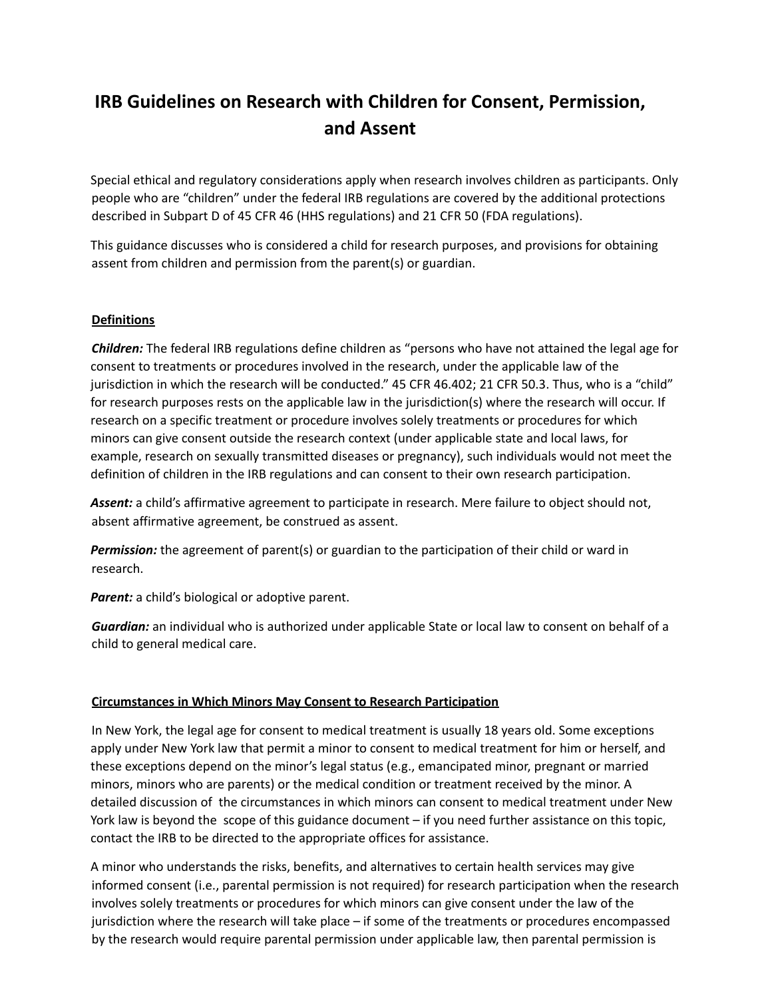# **IRB Guidelines on Research with Children for Consent, Permission, and Assent**

Special ethical and regulatory considerations apply when research involves children as participants. Only people who are "children" under the federal IRB regulations are covered by the additional protections described in Subpart D of 45 CFR 46 (HHS regulations) and 21 CFR 50 (FDA regulations).

This guidance discusses who is considered a child for research purposes, and provisions for obtaining assent from children and permission from the parent(s) or guardian.

### **Definitions**

*Children:* The federal IRB regulations define children as "persons who have not attained the legal age for consent to treatments or procedures involved in the research, under the applicable law of the jurisdiction in which the research will be conducted." 45 CFR 46.402; 21 CFR 50.3. Thus, who is a "child" for research purposes rests on the applicable law in the jurisdiction(s) where the research will occur. If research on a specific treatment or procedure involves solely treatments or procedures for which minors can give consent outside the research context (under applicable state and local laws, for example, research on sexually transmitted diseases or pregnancy), such individuals would not meet the definition of children in the IRB regulations and can consent to their own research participation.

*Assent:* a child's affirmative agreement to participate in research. Mere failure to object should not, absent affirmative agreement, be construed as assent.

*Permission:* the agreement of parent(s) or guardian to the participation of their child or ward in research.

*Parent:* a child's biological or adoptive parent.

*Guardian:* an individual who is authorized under applicable State or local law to consent on behalf of a child to general medical care.

#### **Circumstances in Which Minors May Consent to Research Participation**

In New York, the legal age for consent to medical treatment is usually 18 years old. Some exceptions apply under New York law that permit a minor to consent to medical treatment for him or herself, and these exceptions depend on the minor's legal status (e.g., emancipated minor, pregnant or married minors, minors who are parents) or the medical condition or treatment received by the minor. A detailed discussion of the circumstances in which minors can consent to medical treatment under New York law is beyond the scope of this guidance document – if you need further assistance on this topic, contact the IRB to be directed to the appropriate offices for assistance.

A minor who understands the risks, benefits, and alternatives to certain health services may give informed consent (i.e., parental permission is not required) for research participation when the research involves solely treatments or procedures for which minors can give consent under the law of the jurisdiction where the research will take place – if some of the treatments or procedures encompassed by the research would require parental permission under applicable law, then parental permission is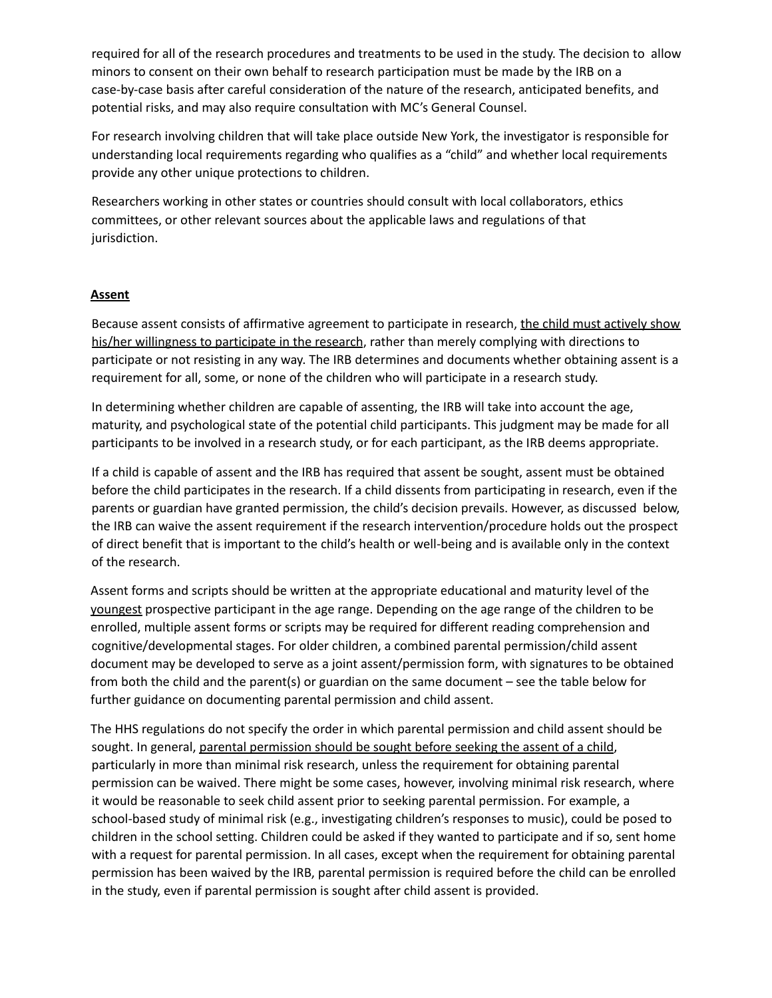required for all of the research procedures and treatments to be used in the study. The decision to allow minors to consent on their own behalf to research participation must be made by the IRB on a case-by-case basis after careful consideration of the nature of the research, anticipated benefits, and potential risks, and may also require consultation with MC's General Counsel.

For research involving children that will take place outside New York, the investigator is responsible for understanding local requirements regarding who qualifies as a "child" and whether local requirements provide any other unique protections to children.

Researchers working in other states or countries should consult with local collaborators, ethics committees, or other relevant sources about the applicable laws and regulations of that jurisdiction.

### **Assent**

Because assent consists of affirmative agreement to participate in research, the child must actively show his/her willingness to participate in the research, rather than merely complying with directions to participate or not resisting in any way. The IRB determines and documents whether obtaining assent is a requirement for all, some, or none of the children who will participate in a research study.

In determining whether children are capable of assenting, the IRB will take into account the age, maturity, and psychological state of the potential child participants. This judgment may be made for all participants to be involved in a research study, or for each participant, as the IRB deems appropriate.

If a child is capable of assent and the IRB has required that assent be sought, assent must be obtained before the child participates in the research. If a child dissents from participating in research, even if the parents or guardian have granted permission, the child's decision prevails. However, as discussed below, the IRB can waive the assent requirement if the research intervention/procedure holds out the prospect of direct benefit that is important to the child's health or well-being and is available only in the context of the research.

Assent forms and scripts should be written at the appropriate educational and maturity level of the youngest prospective participant in the age range. Depending on the age range of the children to be enrolled, multiple assent forms or scripts may be required for different reading comprehension and cognitive/developmental stages. For older children, a combined parental permission/child assent document may be developed to serve as a joint assent/permission form, with signatures to be obtained from both the child and the parent(s) or guardian on the same document – see the table below for further guidance on documenting parental permission and child assent.

The HHS regulations do not specify the order in which parental permission and child assent should be sought. In general, parental permission should be sought before seeking the assent of a child, particularly in more than minimal risk research, unless the requirement for obtaining parental permission can be waived. There might be some cases, however, involving minimal risk research, where it would be reasonable to seek child assent prior to seeking parental permission. For example, a school-based study of minimal risk (e.g., investigating children's responses to music), could be posed to children in the school setting. Children could be asked if they wanted to participate and if so, sent home with a request for parental permission. In all cases, except when the requirement for obtaining parental permission has been waived by the IRB, parental permission is required before the child can be enrolled in the study, even if parental permission is sought after child assent is provided.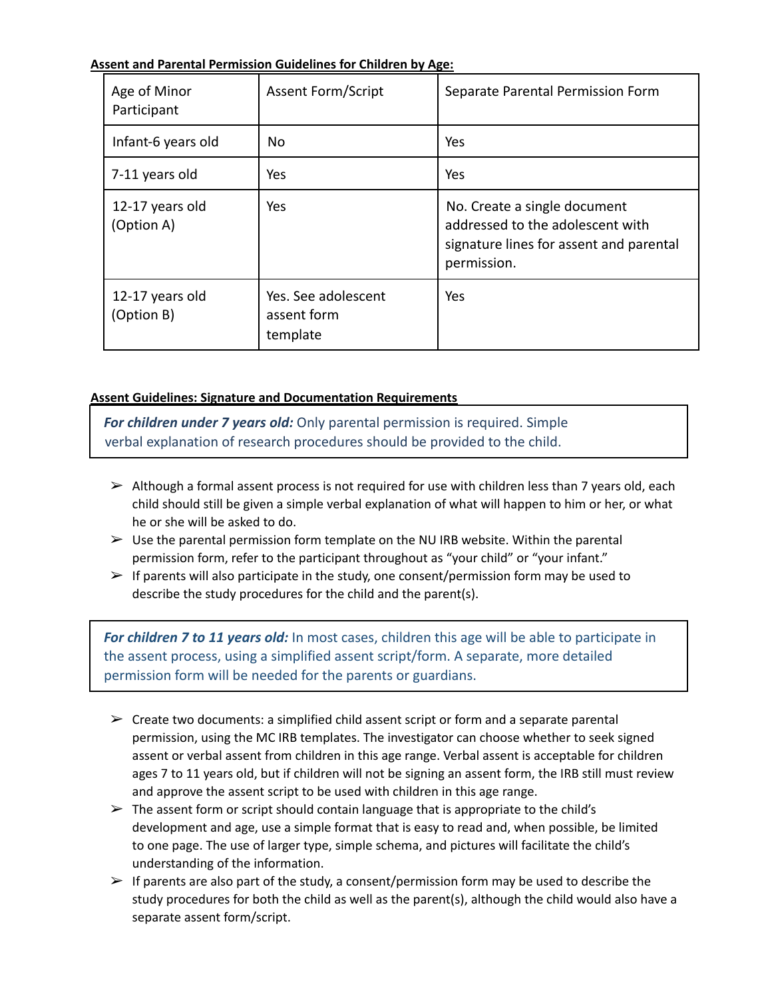**Assent and Parental Permission Guidelines for Children by Age:**

| Age of Minor<br>Participant   | <b>Assent Form/Script</b>                      | Separate Parental Permission Form                                                                                          |
|-------------------------------|------------------------------------------------|----------------------------------------------------------------------------------------------------------------------------|
| Infant-6 years old            | No.                                            | Yes                                                                                                                        |
| 7-11 years old                | Yes                                            | Yes                                                                                                                        |
| 12-17 years old<br>(Option A) | Yes.                                           | No. Create a single document<br>addressed to the adolescent with<br>signature lines for assent and parental<br>permission. |
| 12-17 years old<br>(Option B) | Yes. See adolescent<br>assent form<br>template | Yes                                                                                                                        |

## **Assent Guidelines: Signature and Documentation Requirements**

*For children under 7 years old:* Only parental permission is required. Simple verbal explanation of research procedures should be provided to the child.

- $\triangleright$  Although a formal assent process is not required for use with children less than 7 years old, each child should still be given a simple verbal explanation of what will happen to him or her, or what he or she will be asked to do.
- $\triangleright$  Use the parental permission form template on the NU IRB website. Within the parental permission form, refer to the participant throughout as "your child" or "your infant."
- $\triangleright$  If parents will also participate in the study, one consent/permission form may be used to describe the study procedures for the child and the parent(s).

*For children 7 to 11 years old:* In most cases, children this age will be able to participate in the assent process, using a simplified assent script/form. A separate, more detailed permission form will be needed for the parents or guardians.

- $\triangleright$  Create two documents: a simplified child assent script or form and a separate parental permission, using the MC IRB templates. The investigator can choose whether to seek signed assent or verbal assent from children in this age range. Verbal assent is acceptable for children ages 7 to 11 years old, but if children will not be signing an assent form, the IRB still must review and approve the assent script to be used with children in this age range.
- $\triangleright$  The assent form or script should contain language that is appropriate to the child's development and age, use a simple format that is easy to read and, when possible, be limited to one page. The use of larger type, simple schema, and pictures will facilitate the child's understanding of the information.
- $\triangleright$  If parents are also part of the study, a consent/permission form may be used to describe the study procedures for both the child as well as the parent(s), although the child would also have a separate assent form/script.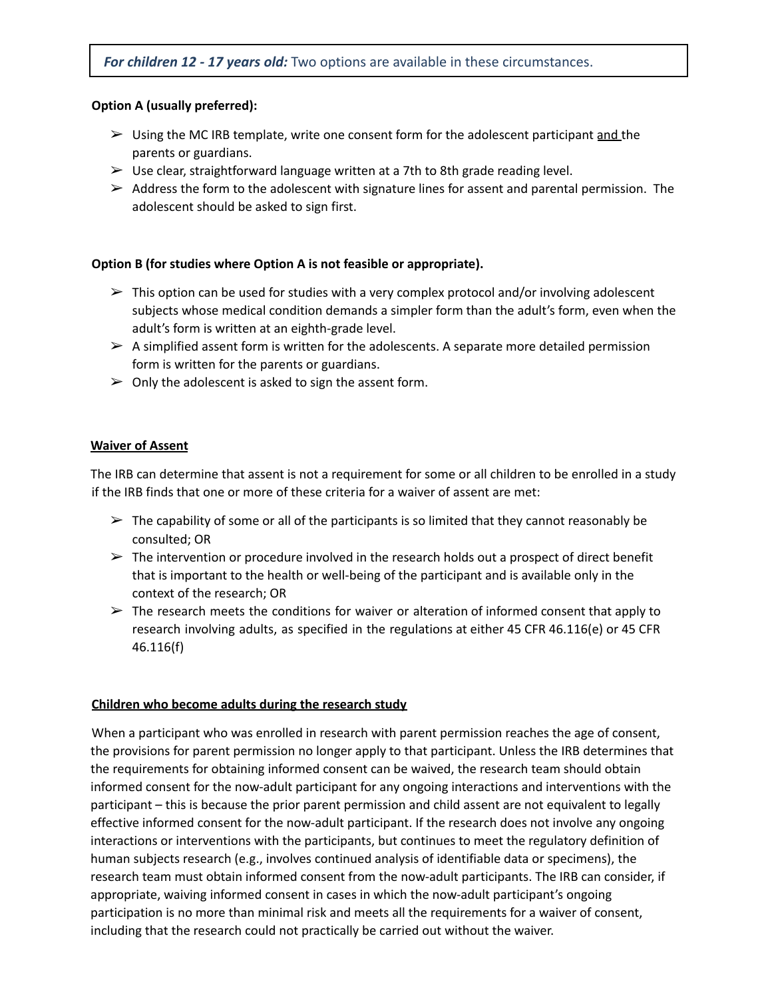## **Option A (usually preferred):**

- $\triangleright$  Using the MC IRB template, write one consent form for the adolescent participant and the parents or guardians.
- $\triangleright$  Use clear, straightforward language written at a 7th to 8th grade reading level.
- $\triangleright$  Address the form to the adolescent with signature lines for assent and parental permission. The adolescent should be asked to sign first.

### **Option B (for studies where Option A is not feasible or appropriate).**

- $\triangleright$  This option can be used for studies with a very complex protocol and/or involving adolescent subjects whose medical condition demands a simpler form than the adult's form, even when the adult's form is written at an eighth-grade level.
- $\triangleright$  A simplified assent form is written for the adolescents. A separate more detailed permission form is written for the parents or guardians.
- $\triangleright$  Only the adolescent is asked to sign the assent form.

### **Waiver of Assent**

The IRB can determine that assent is not a requirement for some or all children to be enrolled in a study if the IRB finds that one or more of these criteria for a waiver of assent are met:

- $\triangleright$  The capability of some or all of the participants is so limited that they cannot reasonably be consulted; OR
- $\triangleright$  The intervention or procedure involved in the research holds out a prospect of direct benefit that is important to the health or well-being of the participant and is available only in the context of the research; OR
- $\triangleright$  The research meets the conditions for waiver or alteration of informed consent that apply to research involving adults, as specified in the regulations at either 45 CFR 46.116(e) or 45 CFR 46.116(f)

#### **Children who become adults during the research study**

When a participant who was enrolled in research with parent permission reaches the age of consent, the provisions for parent permission no longer apply to that participant. Unless the IRB determines that the requirements for obtaining informed consent can be waived, the research team should obtain informed consent for the now-adult participant for any ongoing interactions and interventions with the participant – this is because the prior parent permission and child assent are not equivalent to legally effective informed consent for the now-adult participant. If the research does not involve any ongoing interactions or interventions with the participants, but continues to meet the regulatory definition of human subjects research (e.g., involves continued analysis of identifiable data or specimens), the research team must obtain informed consent from the now-adult participants. The IRB can consider, if appropriate, waiving informed consent in cases in which the now-adult participant's ongoing participation is no more than minimal risk and meets all the requirements for a waiver of consent, including that the research could not practically be carried out without the waiver.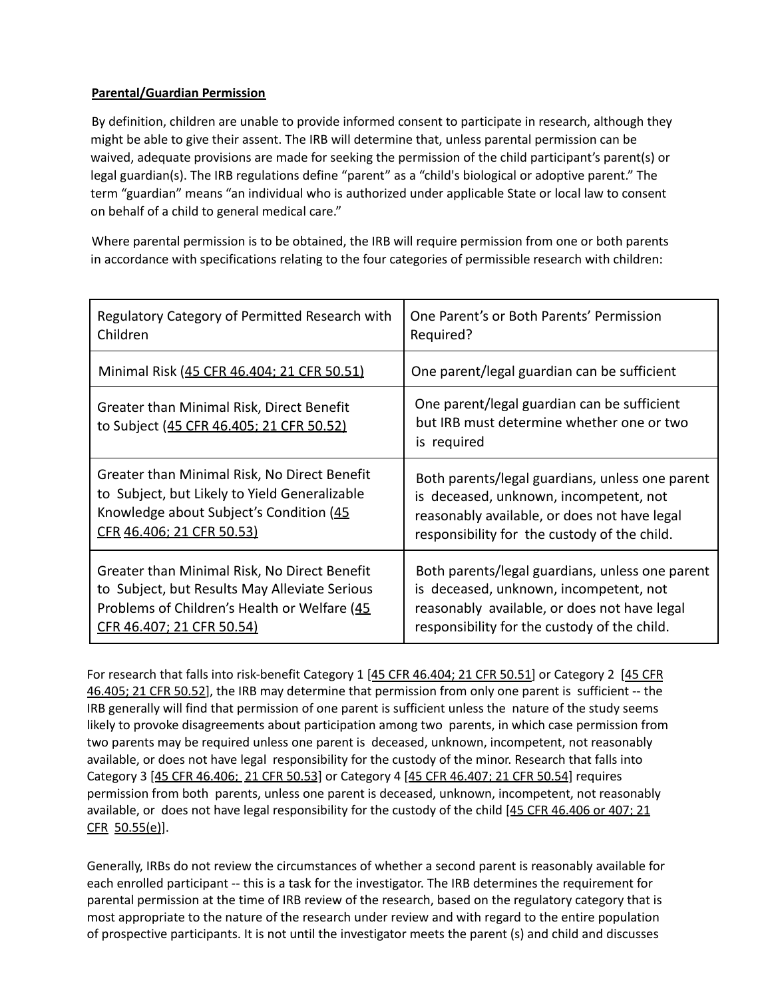## **Parental/Guardian Permission**

By definition, children are unable to provide informed consent to participate in research, although they might be able to give their assent. The IRB will determine that, unless parental permission can be waived, adequate provisions are made for seeking the permission of the child participant's parent(s) or legal guardian(s). The IRB regulations define "parent" as a "child's biological or adoptive parent." The term "guardian" means "an individual who is authorized under applicable State or local law to consent on behalf of a child to general medical care."

Where parental permission is to be obtained, the IRB will require permission from one or both parents in accordance with specifications relating to the four categories of permissible research with children:

| Regulatory Category of Permitted Research with                                        | One Parent's or Both Parents' Permission                                                                |
|---------------------------------------------------------------------------------------|---------------------------------------------------------------------------------------------------------|
| Children                                                                              | Required?                                                                                               |
| Minimal Risk (45 CFR 46.404; 21 CFR 50.51)                                            | One parent/legal guardian can be sufficient                                                             |
| Greater than Minimal Risk, Direct Benefit<br>to Subject (45 CFR 46.405; 21 CFR 50.52) | One parent/legal guardian can be sufficient<br>but IRB must determine whether one or two<br>is required |
| Greater than Minimal Risk, No Direct Benefit                                          | Both parents/legal guardians, unless one parent                                                         |
| to Subject, but Likely to Yield Generalizable                                         | is deceased, unknown, incompetent, not                                                                  |
| Knowledge about Subject's Condition (45                                               | reasonably available, or does not have legal                                                            |
| CFR 46.406; 21 CFR 50.53)                                                             | responsibility for the custody of the child.                                                            |
| Greater than Minimal Risk, No Direct Benefit                                          | Both parents/legal guardians, unless one parent                                                         |
| to Subject, but Results May Alleviate Serious                                         | is deceased, unknown, incompetent, not                                                                  |
| Problems of Children's Health or Welfare (45                                          | reasonably available, or does not have legal                                                            |
| CFR 46.407; 21 CFR 50.54)                                                             | responsibility for the custody of the child.                                                            |

For research that falls into risk-benefit Category 1 [45 CFR 46.404; 21 CFR 50.51] or Category 2 [45 CFR 46.405; 21 CFR 50.52], the IRB may determine that permission from only one parent is sufficient -- the IRB generally will find that permission of one parent is sufficient unless the nature of the study seems likely to provoke disagreements about participation among two parents, in which case permission from two parents may be required unless one parent is deceased, unknown, incompetent, not reasonably available, or does not have legal responsibility for the custody of the minor. Research that falls into Category 3 [45 CFR 46.406; 21 CFR 50.53] or Category 4 [45 CFR 46.407; 21 CFR 50.54] requires permission from both parents, unless one parent is deceased, unknown, incompetent, not reasonably available, or does not have legal responsibility for the custody of the child [45 CFR 46.406 or 407: 21 CFR 50.55(e)].

Generally, IRBs do not review the circumstances of whether a second parent is reasonably available for each enrolled participant -- this is a task for the investigator. The IRB determines the requirement for parental permission at the time of IRB review of the research, based on the regulatory category that is most appropriate to the nature of the research under review and with regard to the entire population of prospective participants. It is not until the investigator meets the parent (s) and child and discusses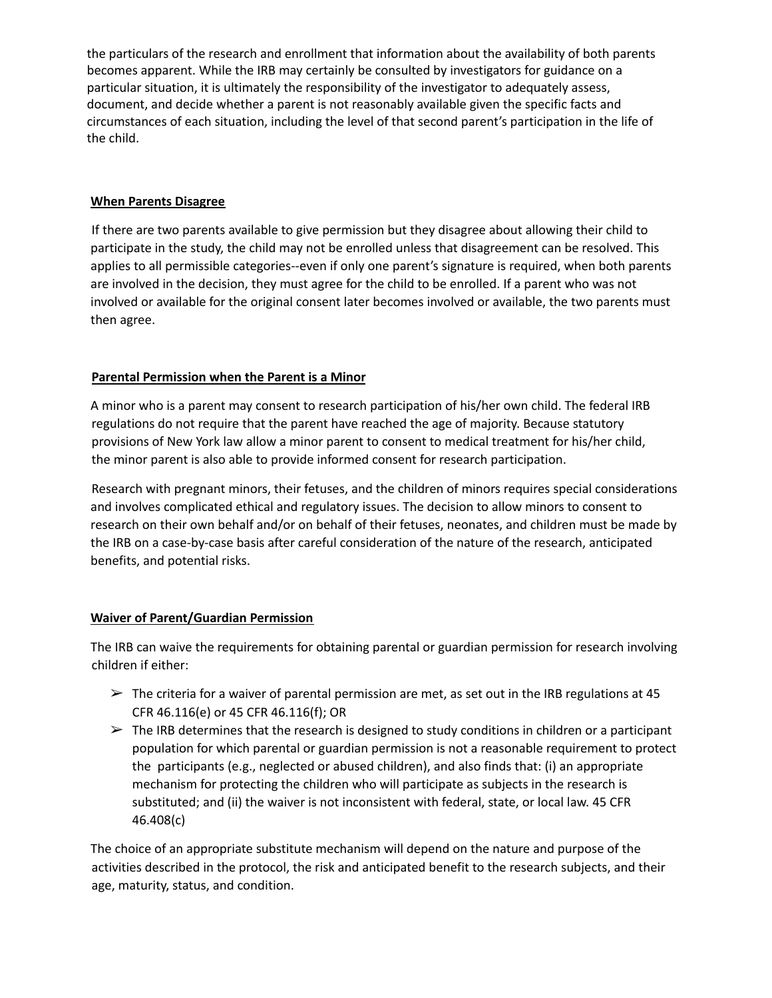the particulars of the research and enrollment that information about the availability of both parents becomes apparent. While the IRB may certainly be consulted by investigators for guidance on a particular situation, it is ultimately the responsibility of the investigator to adequately assess, document, and decide whether a parent is not reasonably available given the specific facts and circumstances of each situation, including the level of that second parent's participation in the life of the child.

### **When Parents Disagree**

If there are two parents available to give permission but they disagree about allowing their child to participate in the study, the child may not be enrolled unless that disagreement can be resolved. This applies to all permissible categories--even if only one parent's signature is required, when both parents are involved in the decision, they must agree for the child to be enrolled. If a parent who was not involved or available for the original consent later becomes involved or available, the two parents must then agree.

## **Parental Permission when the Parent is a Minor**

A minor who is a parent may consent to research participation of his/her own child. The federal IRB regulations do not require that the parent have reached the age of majority. Because statutory provisions of New York law allow a minor parent to consent to medical treatment for his/her child, the minor parent is also able to provide informed consent for research participation.

Research with pregnant minors, their fetuses, and the children of minors requires special considerations and involves complicated ethical and regulatory issues. The decision to allow minors to consent to research on their own behalf and/or on behalf of their fetuses, neonates, and children must be made by the IRB on a case-by-case basis after careful consideration of the nature of the research, anticipated benefits, and potential risks.

#### **Waiver of Parent/Guardian Permission**

The IRB can waive the requirements for obtaining parental or guardian permission for research involving children if either:

- $\triangleright$  The criteria for a waiver of parental permission are met, as set out in the IRB regulations at 45 CFR 46.116(e) or 45 CFR 46.116(f); OR
- $\triangleright$  The IRB determines that the research is designed to study conditions in children or a participant population for which parental or guardian permission is not a reasonable requirement to protect the participants (e.g., neglected or abused children), and also finds that: (i) an appropriate mechanism for protecting the children who will participate as subjects in the research is substituted; and (ii) the waiver is not inconsistent with federal, state, or local law. 45 CFR 46.408(c)

The choice of an appropriate substitute mechanism will depend on the nature and purpose of the activities described in the protocol, the risk and anticipated benefit to the research subjects, and their age, maturity, status, and condition.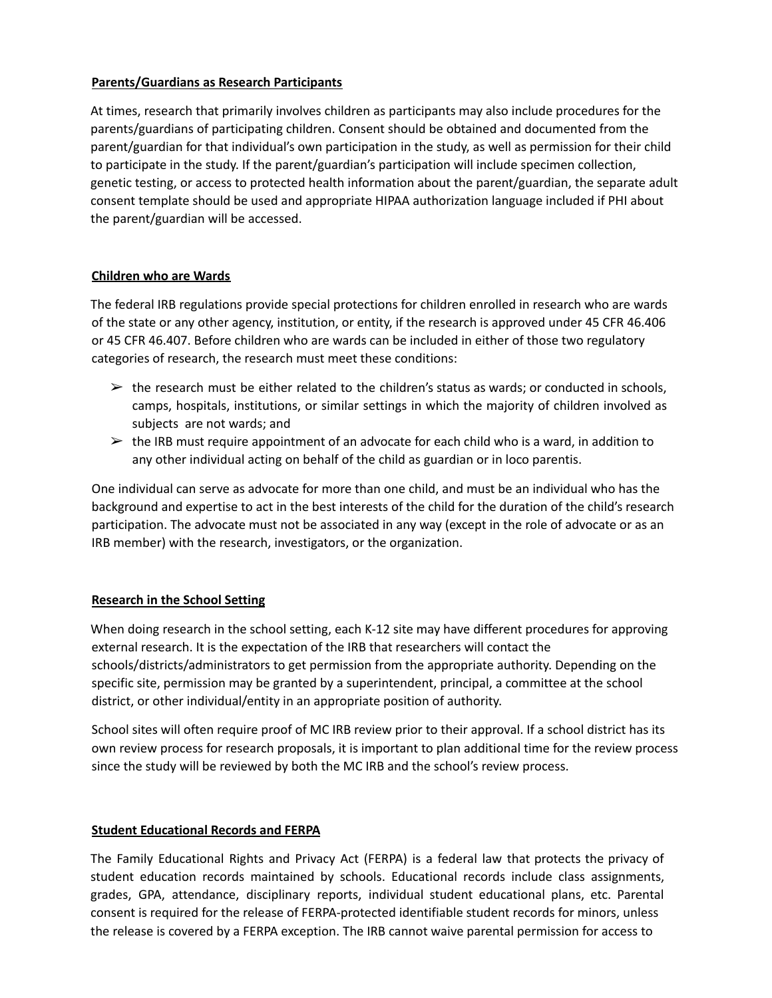### **Parents/Guardians as Research Participants**

At times, research that primarily involves children as participants may also include procedures for the parents/guardians of participating children. Consent should be obtained and documented from the parent/guardian for that individual's own participation in the study, as well as permission for their child to participate in the study. If the parent/guardian's participation will include specimen collection, genetic testing, or access to protected health information about the parent/guardian, the separate adult consent template should be used and appropriate HIPAA authorization language included if PHI about the parent/guardian will be accessed.

#### **Children who are Wards**

The federal IRB regulations provide special protections for children enrolled in research who are wards of the state or any other agency, institution, or entity, if the research is approved under 45 CFR 46.406 or 45 CFR 46.407. Before children who are wards can be included in either of those two regulatory categories of research, the research must meet these conditions:

- $\triangleright$  the research must be either related to the children's status as wards; or conducted in schools, camps, hospitals, institutions, or similar settings in which the majority of children involved as subjects are not wards; and
- $\geq$  the IRB must require appointment of an advocate for each child who is a ward, in addition to any other individual acting on behalf of the child as guardian or in loco parentis.

One individual can serve as advocate for more than one child, and must be an individual who has the background and expertise to act in the best interests of the child for the duration of the child's research participation. The advocate must not be associated in any way (except in the role of advocate or as an IRB member) with the research, investigators, or the organization.

## **Research in the School Setting**

When doing research in the school setting, each K-12 site may have different procedures for approving external research. It is the expectation of the IRB that researchers will contact the schools/districts/administrators to get permission from the appropriate authority. Depending on the specific site, permission may be granted by a superintendent, principal, a committee at the school district, or other individual/entity in an appropriate position of authority.

School sites will often require proof of MC IRB review prior to their approval. If a school district has its own review process for research proposals, it is important to plan additional time for the review process since the study will be reviewed by both the MC IRB and the school's review process.

#### **Student Educational Records and FERPA**

The Family Educational Rights and Privacy Act (FERPA) is a federal law that protects the privacy of student education records maintained by schools. Educational records include class assignments, grades, GPA, attendance, disciplinary reports, individual student educational plans, etc. Parental consent is required for the release of FERPA-protected identifiable student records for minors, unless the release is covered by a FERPA exception. The IRB cannot waive parental permission for access to